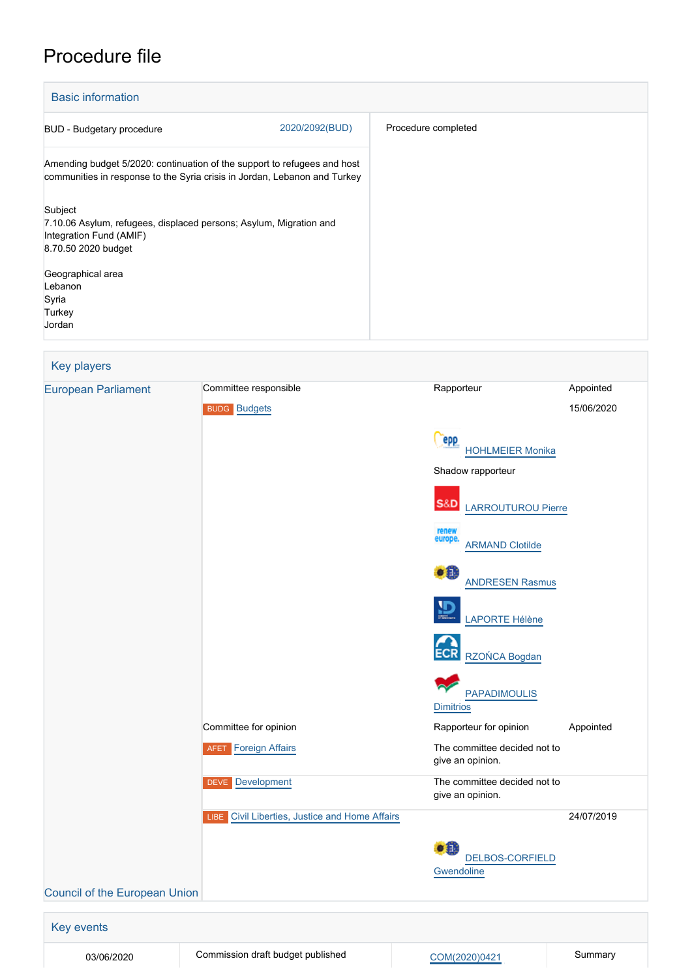# Procedure file

| <b>Basic information</b>                                                                                                                              |                     |  |  |  |  |
|-------------------------------------------------------------------------------------------------------------------------------------------------------|---------------------|--|--|--|--|
| 2020/2092(BUD)<br><b>BUD</b> - Budgetary procedure                                                                                                    | Procedure completed |  |  |  |  |
| Amending budget 5/2020: continuation of the support to refugees and host<br>communities in response to the Syria crisis in Jordan, Lebanon and Turkey |                     |  |  |  |  |
| Subject<br>7.10.06 Asylum, refugees, displaced persons; Asylum, Migration and<br>Integration Fund (AMIF)<br>8.70.50 2020 budget                       |                     |  |  |  |  |
| Geographical area<br>Lebanon<br>Syria<br>Turkey<br>Jordan                                                                                             |                     |  |  |  |  |

## Key players [European Parliament](http://www.europarl.europa.eu/) Committee responsible Rapporteur Rapporteur Appointed BUDG [Budgets](http://www.europarl.europa.eu/committees/en/budg/home.html) 15/06/2020 (epp [HOHLMEIER Monika](http://www.europarl.europa.eu/meps/en/96780) Shadow rapporteur **S&D**  [LARROUTUROU Pierre](http://www.europarl.europa.eu/meps/en/197698) [ARMAND Clotilde](http://www.europarl.europa.eu/meps/en/197664)  $\bullet$  iii [ANDRESEN Rasmus](http://www.europarl.europa.eu/meps/en/197448) [LAPORTE Hélène](http://www.europarl.europa.eu/meps/en/197597) [RZOŃCA Bogdan](http://www.europarl.europa.eu/meps/en/197545) [PAPADIMOULIS](http://www.europarl.europa.eu/meps/en/28586) **[Dimitrios](http://www.europarl.europa.eu/meps/en/28586)** Committee for opinion **Committee for opinion** Rapporteur for opinion Appointed **AFET** [Foreign Affairs](http://www.europarl.europa.eu/committees/en/afet/home.html) **The committee decided not to** give an opinion. DEVE [Development](http://www.europarl.europa.eu/committees/en/deve/home.html) The committee decided not to give an opinion. **LIBE** [Civil Liberties, Justice and Home Affairs](http://www.europarl.europa.eu/committees/en/libe/home.html) 24/07/2019  $\bullet$   $\bullet$  [DELBOS-CORFIELD](http://www.europarl.europa.eu/meps/en/197531) **[Gwendoline](http://www.europarl.europa.eu/meps/en/197531)** [Council of the European Union](http://www.consilium.europa.eu)

Key events 03/06/2020 Commission draft budget published [COM\(2020\)0421](http://www.europarl.europa.eu/RegData/docs_autres_institutions/commission_europeenne/com/2020/0421/COM_COM(2020)0421_EN.pdf) Summary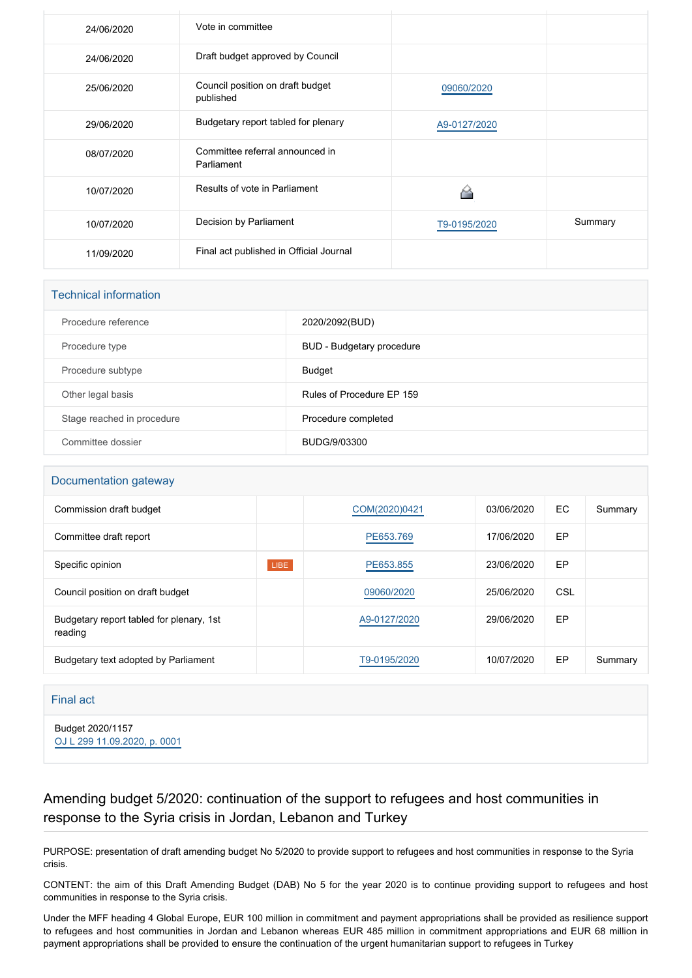| 24/06/2020 | Vote in committee                             |              |         |
|------------|-----------------------------------------------|--------------|---------|
| 24/06/2020 | Draft budget approved by Council              |              |         |
| 25/06/2020 | Council position on draft budget<br>published | 09060/2020   |         |
| 29/06/2020 | Budgetary report tabled for plenary           | A9-0127/2020 |         |
| 08/07/2020 | Committee referral announced in<br>Parliament |              |         |
| 10/07/2020 | Results of vote in Parliament                 |              |         |
| 10/07/2020 | Decision by Parliament                        | T9-0195/2020 | Summary |
| 11/09/2020 | Final act published in Official Journal       |              |         |

| <b>Technical information</b> |                           |  |  |  |
|------------------------------|---------------------------|--|--|--|
| Procedure reference          | 2020/2092(BUD)            |  |  |  |
| Procedure type               | BUD - Budgetary procedure |  |  |  |
| Procedure subtype            | Budget                    |  |  |  |
| Other legal basis            | Rules of Procedure EP 159 |  |  |  |
| Stage reached in procedure   | Procedure completed       |  |  |  |
| Committee dossier            | BUDG/9/03300              |  |  |  |

### Documentation gateway

| Commission draft budget                             |             | COM(2020)0421 | 03/06/2020 | EC. | Summary |
|-----------------------------------------------------|-------------|---------------|------------|-----|---------|
| Committee draft report                              |             | PE653.769     | 17/06/2020 | EP  |         |
| Specific opinion                                    | <b>LIBE</b> | PE653.855     | 23/06/2020 | EP  |         |
| Council position on draft budget                    |             | 09060/2020    | 25/06/2020 | CSL |         |
| Budgetary report tabled for plenary, 1st<br>reading |             | A9-0127/2020  | 29/06/2020 | EP  |         |
| Budgetary text adopted by Parliament                |             | T9-0195/2020  | 10/07/2020 | EP  | Summary |

### Final act

Budget 2020/1157 [OJ L 299 11.09.2020, p. 0001](https://eur-lex.europa.eu/legal-content/EN/TXT/?uri=OJ:L:2020:299:TOC)

### Amending budget 5/2020: continuation of the support to refugees and host communities in response to the Syria crisis in Jordan, Lebanon and Turkey

PURPOSE: presentation of draft amending budget No 5/2020 to provide support to refugees and host communities in response to the Syria crisis.

CONTENT: the aim of this Draft Amending Budget (DAB) No 5 for the year 2020 is to continue providing support to refugees and host communities in response to the Syria crisis.

Under the MFF heading 4 Global Europe, EUR 100 million in commitment and payment appropriations shall be provided as resilience support to refugees and host communities in Jordan and Lebanon whereas EUR 485 million in commitment appropriations and EUR 68 million in payment appropriations shall be provided to ensure the continuation of the urgent humanitarian support to refugees in Turkey